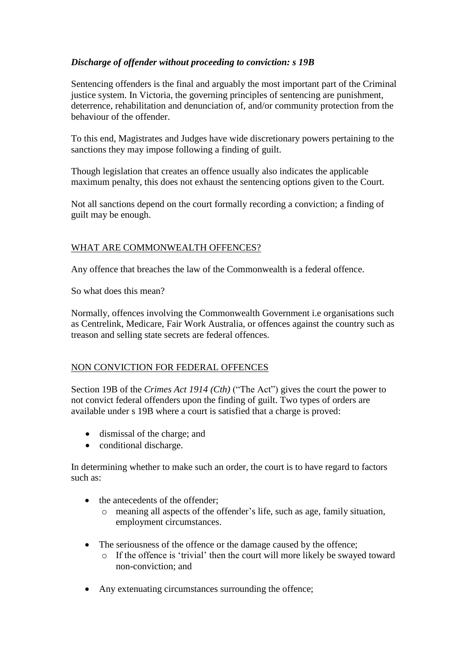## *Discharge of offender without proceeding to conviction: s 19B*

Sentencing offenders is the final and arguably the most important part of the Criminal justice system. In Victoria, the governing principles of sentencing are punishment, deterrence, rehabilitation and denunciation of, and/or community protection from the behaviour of the offender.

To this end, Magistrates and Judges have wide discretionary powers pertaining to the sanctions they may impose following a finding of guilt.

Though legislation that creates an offence usually also indicates the applicable maximum penalty, this does not exhaust the sentencing options given to the Court.

Not all sanctions depend on the court formally recording a conviction; a finding of guilt may be enough.

## WHAT ARE COMMONWEALTH OFFENCES?

Any offence that breaches the law of the Commonwealth is a federal offence.

So what does this mean?

Normally, offences involving the Commonwealth Government i.e organisations such as Centrelink, Medicare, Fair Work Australia, or offences against the country such as treason and selling state secrets are federal offences.

## NON CONVICTION FOR FEDERAL OFFENCES

Section 19B of the *Crimes Act 1914 (Cth)* ("The Act") gives the court the power to not convict federal offenders upon the finding of guilt. Two types of orders are available under s 19B where a court is satisfied that a charge is proved:

- dismissal of the charge; and
- conditional discharge.

In determining whether to make such an order, the court is to have regard to factors such as:

- the antecedents of the offender:
	- o meaning all aspects of the offender's life, such as age, family situation, employment circumstances.
- The seriousness of the offence or the damage caused by the offence;
	- o If the offence is 'trivial' then the court will more likely be swayed toward non-conviction; and
- Any extenuating circumstances surrounding the offence;